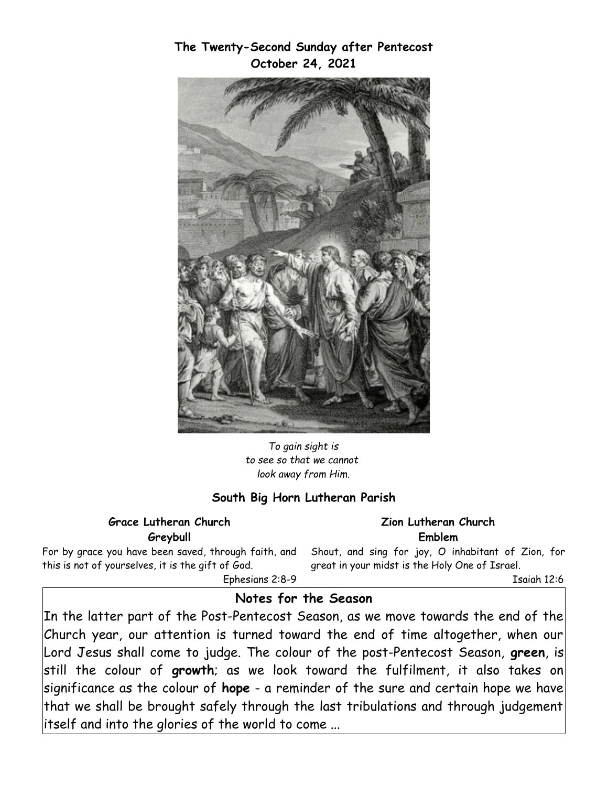**The Twenty-Second Sunday after Pentecost October 24, 2021**



*To gain sight is to see so that we cannot look away from Him.*

### **South Big Horn Lutheran Parish**

#### **Grace Lutheran Church Greybull**

For by grace you have been saved, through faith, and this is not of yourselves, it is the gift of God.

 Ephesians 2:8-9 great in your midst is the Holy One of Israel.

Isaiah 12:6

**Zion Lutheran Church Emblem** Shout, and sing for joy, O inhabitant of Zion, for

### **Notes for the Season**

In the latter part of the Post-Pentecost Season, as we move towards the end of the Church year, our attention is turned toward the end of time altogether, when our Lord Jesus shall come to judge. The colour of the post-Pentecost Season, **green**, is still the colour of **growth**; as we look toward the fulfilment, it also takes on significance as the colour of **hope** - a reminder of the sure and certain hope we have that we shall be brought safely through the last tribulations and through judgement itself and into the glories of the world to come ...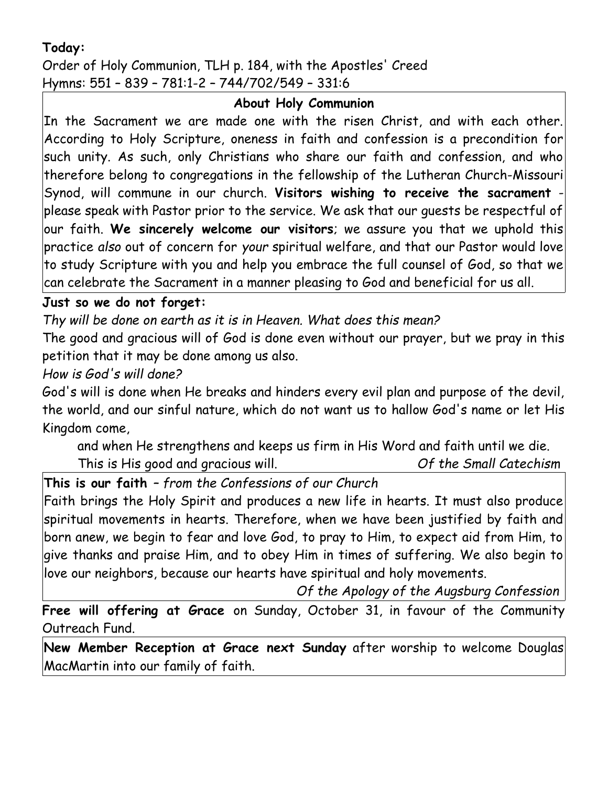# **Today:**

Order of Holy Communion, TLH p. 184, with the Apostles' Creed Hymns: 551 – 839 – 781:1-2 – 744/702/549 – 331:6

## **About Holy Communion**

In the Sacrament we are made one with the risen Christ, and with each other. According to Holy Scripture, oneness in faith and confession is a precondition for such unity. As such, only Christians who share our faith and confession, and who therefore belong to congregations in the fellowship of the Lutheran Church-Missouri Synod, will commune in our church. Visitors wishing to receive the sacrament please speak with Pastor prior to the service. We ask that our guests be respectful of our faith. **We sincerely welcome our visitors**; we assure you that we uphold this practice *also* out of concern for *your* spiritual welfare, and that our Pastor would love to study Scripture with you and help you embrace the full counsel of God, so that we can celebrate the Sacrament in a manner pleasing to God and beneficial for us all.

## **Just so we do not forget:**

*Thy will be done on earth as it is in Heaven. What does this mean?*

The good and gracious will of God is done even without our prayer, but we pray in this petition that it may be done among us also.

*How is God's will done?*

God's will is done when He breaks and hinders every evil plan and purpose of the devil, the world, and our sinful nature, which do not want us to hallow God's name or let His Kingdom come,

and when He strengthens and keeps us firm in His Word and faith until we die. This is His good and gracious will. *Of the Small Catechism*

**This is our faith** *– from the Confessions of our Church*

Faith brings the Holy Spirit and produces a new life in hearts. It must also produce spiritual movements in hearts. Therefore, when we have been justified by faith and born anew, we begin to fear and love God, to pray to Him, to expect aid from Him, to give thanks and praise Him, and to obey Him in times of suffering. We also begin to love our neighbors, because our hearts have spiritual and holy movements.

*Of the Apology of the Augsburg Confession*

**Free will offering at Grace** on Sunday, October 31, in favour of the Community Outreach Fund.

**New Member Reception at Grace next Sunday** after worship to welcome Douglas MacMartin into our family of faith.